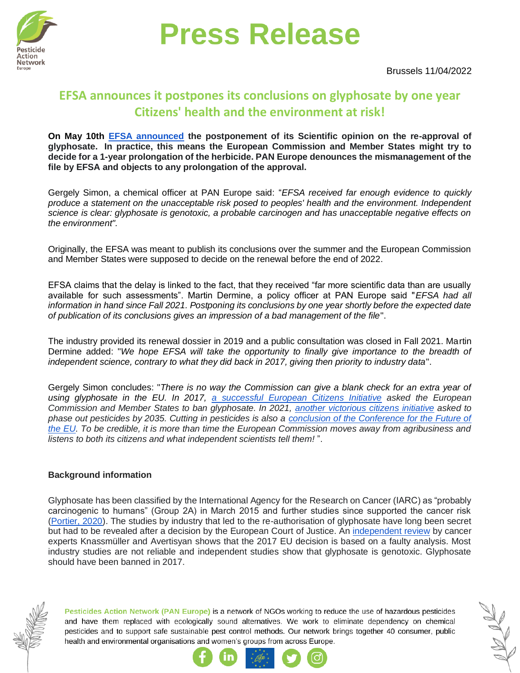

## **Press Release**

Brussels 11/04/2022

### [ow](https://www.pan-europe.info/)ww.pa **EFSA announces it postpones its conclusions on glyphosate by one year Citizens' health and the environment at risk!**

On May 10th **[EFSA announced](https://www.efsa.europa.eu/en/news/glyphosate-efsa-and-echa-update-timelines-assessments)** the postponement of its Scientific opinion on the re-approval of **glyphosate. In practice, this means the European Commission and Member States might try to decide for a 1-year prolongation of the herbicide. PAN Europe denounces the mismanagement of the file by EFSA and objects to any prolongation of the approval.**

Gergely Simon, a chemical officer at PAN Europe said: "*EFSA received far enough evidence to quickly produce a statement on the unacceptable risk posed to peoples' health and the environment. Independent science is clear: glyphosate is genotoxic, a probable carcinogen and has unacceptable negative effects on the environment".*

Originally, the EFSA was meant to publish its conclusions over the summer and the European Commission and Member States were supposed to decide on the renewal before the end of 2022.

EFSA claims that the delay is linked to the fact, that they received "far more scientific data than are usually available for such assessments". Martin Dermine, a policy officer at PAN Europe said "*EFSA had all information in hand since Fall 2021. Postponing its conclusions by one year shortly before the expected date of publication of its conclusions gives an impression of a bad management of the file*".

The industry provided its renewal dossier in 2019 and a public consultation was closed in Fall 2021. Martin Dermine added: "*We hope EFSA will take the opportunity to finally give importance to the breadth of independent science, contrary to what they did back in 2017, giving then priority to industry data*".

Gergely Simon concludes: "*There is no way the Commission can give a blank check for an extra year of using glyphosate in the EU. In 2017, [a successful European Citizens Initiative](https://www.pan-europe.info/press-releases/2017/06/more-one-million-europeans-stand-against-glyphosate) asked the European Commission and Member States to ban glyphosate. In 2021, [another victorious citizens initiative](https://www.pan-europe.info/press-releases/2021/09/save-bees-and-farmers-european-citizens-initiative-citizens-demand-end) asked to phase out pesticides by 2035. Cutting in pesticides is also a [conclusion of the Conference for the Future of](https://www.europarl.europa.eu/resources/library/media/20220509RES29121/20220509RES29121.pdf)  [the EU.](https://www.europarl.europa.eu/resources/library/media/20220509RES29121/20220509RES29121.pdf) To be credible, it is more than time the European Commission moves away from agribusiness and listens to both its citizens and what independent scientists tell them!* ".

#### **Background information**

Glyphosate has been classified by the International Agency for the Research on Cancer (IARC) as "probably carcinogenic to humans" (Group 2A) in March 2015 and further studies since supported the cancer risk [\(Portier, 2020\)](https://ehjournal.biomedcentral.com/articles/10.1186/s12940-020-00574-1). The studies by industry that led to the re-authorisation of glyphosate have long been secret but had to be revealed after a decision by the European Court of Justice. An [independent review](https://s3.amazonaws.com/s3.sumofus.org/images/briefing_how_eu_glyphosate_genotoxic.pdf) by cancer experts Knassmüller and Avertisyan shows that the 2017 EU decision is based on a faulty analysis. Most industry studies are not reliable and independent studies show that glyphosate is genotoxic. Glyphosate should have been banned in 2017.



Pesticides Action Network (PAN Europe) is a network of NGOs working to reduce the use of hazardous pesticides and have them replaced with ecologically sound alternatives. We work to eliminate dependency on chemical pesticides and to support safe sustainable pest control methods. Our network brings together 40 consumer, public health and environmental organisations and women's groups from across Europe.